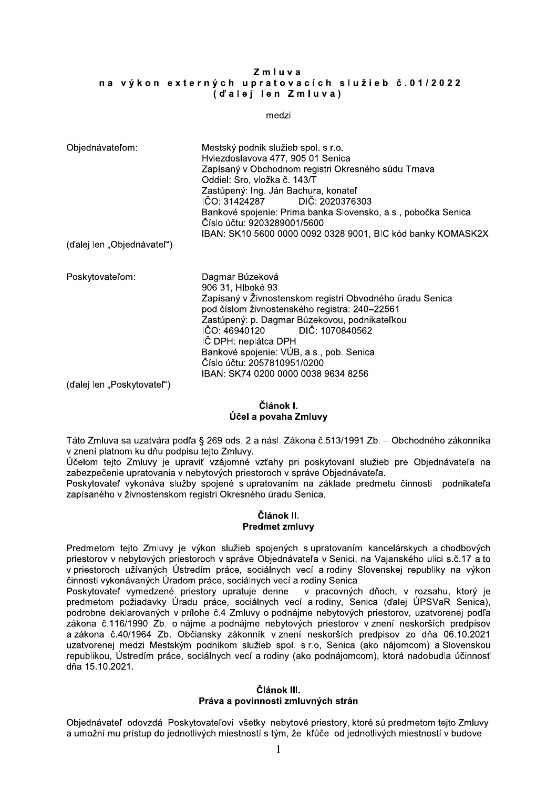### $\boldsymbol{z}$  m i u v a na vykon externych upratovacích služieb c.01/2022 (dalej len Zmiuva)

| $Zm$ luva<br>na výkon externých upratovacích služieb č.01/2022<br>(d'alej len Zmluva)           |                                                                                                                                                                                                                                                                                                                                                                                                            |
|-------------------------------------------------------------------------------------------------|------------------------------------------------------------------------------------------------------------------------------------------------------------------------------------------------------------------------------------------------------------------------------------------------------------------------------------------------------------------------------------------------------------|
| medzi                                                                                           |                                                                                                                                                                                                                                                                                                                                                                                                            |
| Objednávateľom:                                                                                 | Mestský podnik služieb spol. s r.o.<br>Hviezdoslavova 477, 905 01 Senica<br>Zapísaný v Obchodnom registri Okresného súdu Trnava<br>Oddiel: Sro, vložka č. 143/T<br>Zastúpený: Ing. Ján Bachura, konateľ<br>DIČ: 2020376303<br>IČO: 31424287<br>Bankové spojenie: Prima banka Slovensko, a.s., pobočka Senica<br>Číslo účtu: 9203289001/5600<br>IBAN: SK10 5600 0000 0092 0328 9001, BIC kód banky KOMASK2X |
| (ďalej len "Objednávateľ")                                                                      |                                                                                                                                                                                                                                                                                                                                                                                                            |
| Poskytovateľom:<br>(d'alej len "Poskytovatel")                                                  | Dagmar Búzeková<br>906 31, Hlboké 93<br>Zapísaný v Živnostenskom registri Obvodného úradu Senica<br>pod číslom živnostenského registra: 240-22561<br>Zastúpený: p. Dagmar Búzekovou, podnikateľkou<br>IČO: 46940120<br>DIČ: 1070840562<br>IČ DPH: neplátca DPH<br>Bankové spojenie: VÚB, a.s., pob. Senica<br>Číslo účtu: 2057810951/0200<br>IBAN: SK74 0200 0000 0038 9634 8256                           |
|                                                                                                 | Článok I.<br>Účel a povaha Zmluvy                                                                                                                                                                                                                                                                                                                                                                          |
| Táto Zmluva sa uzatvára podľa § 269 ods. 2 a násl. Zákona č.513/1991 Zb. – Obchodného zákonníka |                                                                                                                                                                                                                                                                                                                                                                                                            |

# Článok I. ucel a povana zmluvy

Táto Zmluva sa uzatvára podľa § 269 ods. 2 a násl. Zákona č.513/1991 Zb. – Obchodného zákonníka

#### Článok II. Predmet zmluvy

N-02(H#9:./(5/(:&/0.-=/(82%1/(p(VYB(2%5<(V(/(,-59<(H-62,/(O<DEPQEBBE(H\*<(h()\*GJ2%,LJ2(&-62,,I6/( .(&,\$,I(89/0,2#(6:(%q:(82%8'5:(0\$+02(H#9:.`<( jO\$92#(0\$+02(H#9:.`(+\$(:8=/.'r(.&-+2#,L(.&r/J`(8='(8256`02./,I(59:;'\$\*(8=\$()\*+\$%,-./0\$1/(,/( &/\*\$&8\$O\$,'\$(:8=/02./,'/(.(,\$\*`02.7GJ(8='\$502=2GJ(.(58=-.\$()\*+\$%,-./0\$1/<( Z256`02./0\$1(.`62,-./(59:;\*`(582+\$,L(5(:8=/02./,I#(,/(&-69/%\$(8=\$%#\$0:(O',,250'((82%,'6/0\$1/( &/8I5/,LJ2(.(;'.,250\$,562#(=\$K'50='()6=\$5,LJ2(M=/%:(F\$,'G/<( Predmetom tejto Zmluvy je výkon služieb spojených s upratovaním kancelárskych a chodbových

Učelom tejlo Zmluvy je upravit vzajemné vztalen pri poskytovaní službe pre Objednávateľa na zaklade predmetu pravitevojch priestoroch v správe Objednávateľa predmetu činosti podnikateľa Poskytovateľ vykonáva služby spojené a zakona c.40/1964 Zb. Obciansky zakonnik vzneni neskorsich predpisov zo dna 06.10.2021<br>
uzatvorenej medzi Mestským podnikom služieb spol. s r.o, Senica (ako nájomcom) a Slovenskou<br>
republikou, Ústredim práce, sociálnych v

## Článok III. Prava a povinnosti zmluvnych stran

Objednávateľ odovzdá Poskytovateľovi všetky nebytové priestory, ktoré sú predmetom tejto Zmluvy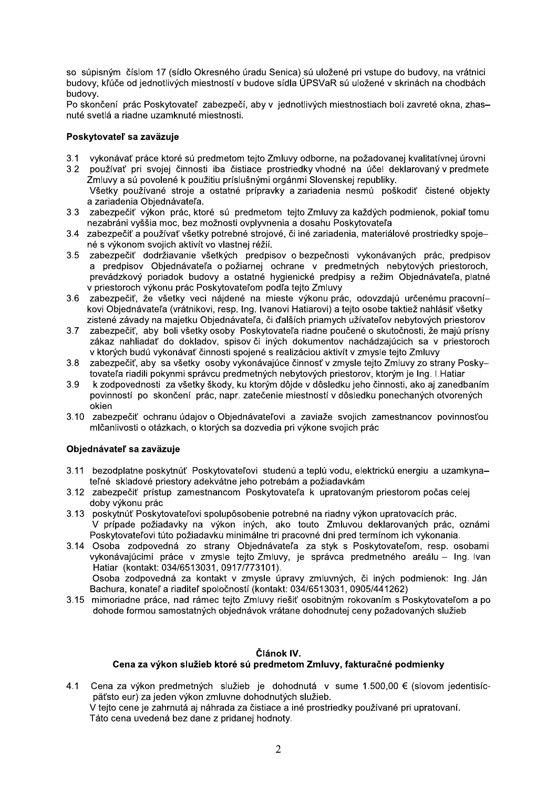so súpisným číslom 17 (sídlo Okresného úradu Senica) sú uložené pri vstupe do budovy, na vrátnici budovy, kľúče od jednotlivých miestností v budove sídla ÚPSVaR sú uložené v skrinách na chodbách budovy.

Po skončení prác Poskytovateľ zabezpečí, aby v jednotlivých miestnostiach boli zavreté okna, zhasnuté svetlá a riadne uzamknuté miestnosti.

#### Poskytovateľ sa zaväzuje

- $3.1$ vykonávať práce ktoré sú predmetom tejto Zmluvy odborne, na požadovanej kvalitatívnej úrovni
- $3.2$ používať pri svojej činnosti iba čistiace prostriedky vhodné na účel deklarovaný v predmete Zmluvy a sú povolené k použitiu príslušnými orgánmi Slovenskej republiky. Všetky používané stroje a ostatné prípravky a zariadenia nesmú poškodiť čistené objekty a zariadenia Obiednávateľa.
- $3.3<sub>o</sub>$ zabezpečiť výkon prác, ktoré sú predmetom tejto Zmluvy za každých podmienok, pokiaľ tomu nezabráni vyššia moc, bez možnosti ovplyvnenia a dosahu Poskytovateľa
- 3.4 zabezpečiť a používať všetky potrebné strojové, či iné zariadenia, materiálové prostriedky spojené s výkonom svojich aktivít vo vlastnej réžií.
- $3.5$ zabezpečiť dodržiavanie všetkých predpisov o bezpečnosti vykonávaných prác, predpisov a predpisov Objednávateľa o požiarnej ochrane v predmetných nebytových priestoroch, prevádzkový poriadok budovy a ostatné hygienické predpisy a režim Objednávateľa, platné v priestoroch výkonu prác Poskytovateľom podľa tejto Zmluvy
- 3.6 zabezpečiť, že všetky veci nájdené na mieste výkonu prác, odovzdajú určenému pracovníkovi Objednávateľa (vrátnikovi, resp. Ing. Ivanovi Hatiarovi) a tejto osobe taktiež nahlásiť všetky zistené závady na majetku Objednávateľa, či ďalších priamych užívateľov nebytových priestorov
- $3.7$ zabezpečiť, aby boli všetky osoby Poskytovateľa riadne poučené o skutočnosti, že majú prísny zákaz nahliadať do dokladov, spisov či iných dokumentov nachádzajúcich sa v priestoroch v ktorých budú vykonávať činnosti spojené s realizáciou aktivít v zmysle tejto Zmluvy
- $3.8$ zabezpečiť, aby sa všetky osoby vykonávajúce činnosť v zmysle tejto Zmluvy zo strany Poskytovateľa riadili pokynmi správcu predmetných nebytových priestorov, ktorým je lng. I. Hatiar
- 3.9 k zodpovednosti za všetky škody, ku ktorým dôjde v dôsledku jeho činnosti, ako aj zanedbaním povinností po skončení prác, napr. zatečenie miestností v dôsledku ponechaných otvorených okien
- 3.10 zabezpečiť ochranu údajov o Objednávateľovi a zaviaže svojich zamestnancov povinnosťou mlčanlivosti o otázkach, o ktorých sa dozvedia pri výkone svojich prác

## Objednávateľ sa zaväzuje

- 3.11 bezodplatne poskytnúť Poskytovateľovi studenú a teplú vodu, elektrickú energiu a uzamkynateľné skladové priestory adekvátne jeho potrebám a požiadavkám
- 3.12 zabezpečiť prístup zamestnancom Poskytovateľa k upratovaným priestorom počas celej doby výkonu prác
- 3.13 poskytnúť Poskytovateľovi spolupôsobenie potrebné na riadny výkon upratovacích prác. V prípade požiadavky na výkon iných, ako touto Zmluvou deklarovaných prác, oznámi Poskytovateľovi túto požiadavku minimálne tri pracovné dni pred termínom ich vykonania.
- 3.14 Osoba zodpovedná zo strany Objednávateľa za styk s Poskytovateľom, resp. osobami vykonávajúcimi práce v zmysle tejto Zmluvy, je správca predmetného areálu - Ing. Ivan Hatiar (kontakt: 034/6513031, 0917/773101). Osoba zodpovedná za kontakt v zmysle úpravy zmluvných, či iných podmienok: Ing. Ján

Bachura, konateľ a riaditeľ spoločností (kontakt: 034/6513031, 0905/441262)

3.15 mimoriadne práce, nad rámec tejto Zmluvy riešiť osobitným rokovaním s Poskytovateľom a po dohode formou samostatných objednávok vrátane dohodnutej ceny požadovaných služieb

## Článok IV.

## Cena za výkon služieb ktoré sú predmetom Zmluvy, fakturačné podmienky

Cena za výkon predmetných služieb je dohodnutá v sume 1.500,00 € (slovom jedentisíc- $4.1$ päťsto eur) za jeden výkon zmluvne dohodnutých služieb. V teito cene je zahrnutá aj náhrada za čistiace a iné prostriedky používané pri upratovaní. Táto cena uvedená bez dane z pridanej hodnoty.